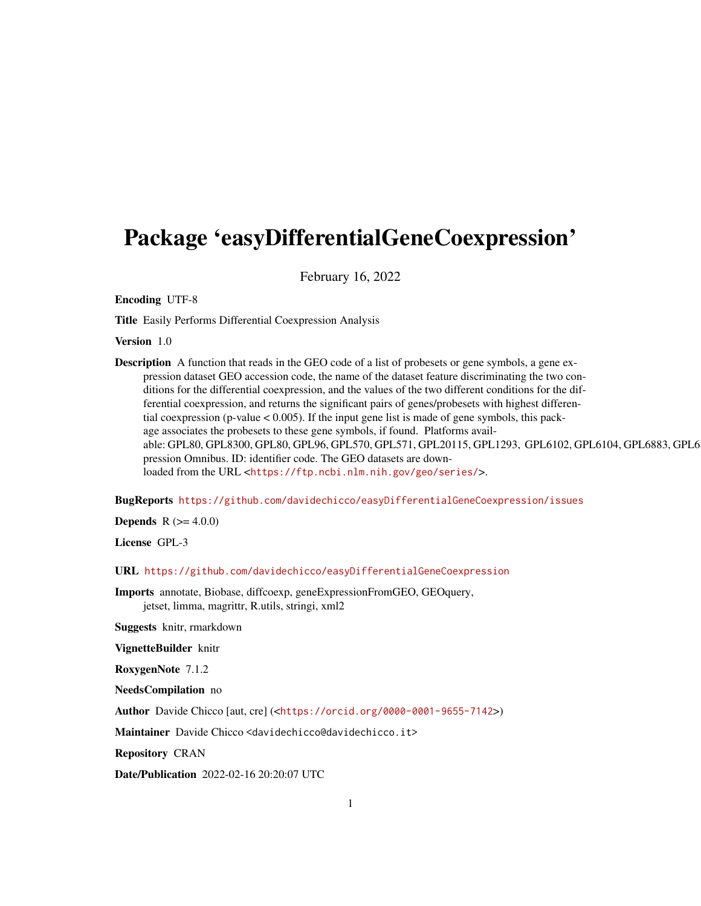## Package 'easyDifferentialGeneCoexpression'

February 16, 2022

Encoding UTF-8

Title Easily Performs Differential Coexpression Analysis

Version 1.0

Description A function that reads in the GEO code of a list of probesets or gene symbols, a gene expression dataset GEO accession code, the name of the dataset feature discriminating the two conditions for the differential coexpression, and the values of the two different conditions for the differential coexpression, and returns the significant pairs of genes/probesets with highest differential coexpression (p-value  $< 0.005$ ). If the input gene list is made of gene symbols, this package associates the probesets to these gene symbols, if found. Platforms available: GPL80, GPL8300, GPL80, GPL96, GPL570, GPL571, GPL20115, GPL1293, GPL6102, GPL6104, GPL6883, GPL6 pression Omnibus. ID: identifier code. The GEO datasets are downloaded from the URL <<https://ftp.ncbi.nlm.nih.gov/geo/series/>>.

BugReports <https://github.com/davidechicco/easyDifferentialGeneCoexpression/issues>

**Depends** R  $(>= 4.0.0)$ 

License GPL-3

URL <https://github.com/davidechicco/easyDifferentialGeneCoexpression>

Imports annotate, Biobase, diffcoexp, geneExpressionFromGEO, GEOquery, jetset, limma, magrittr, R.utils, stringi, xml2

Suggests knitr, rmarkdown

VignetteBuilder knitr

RoxygenNote 7.1.2

NeedsCompilation no

Author Davide Chicco [aut, cre] (<<https://orcid.org/0000-0001-9655-7142>>)

Maintainer Davide Chicco <davidechicco@davidechicco.it>

Repository CRAN

Date/Publication 2022-02-16 20:20:07 UTC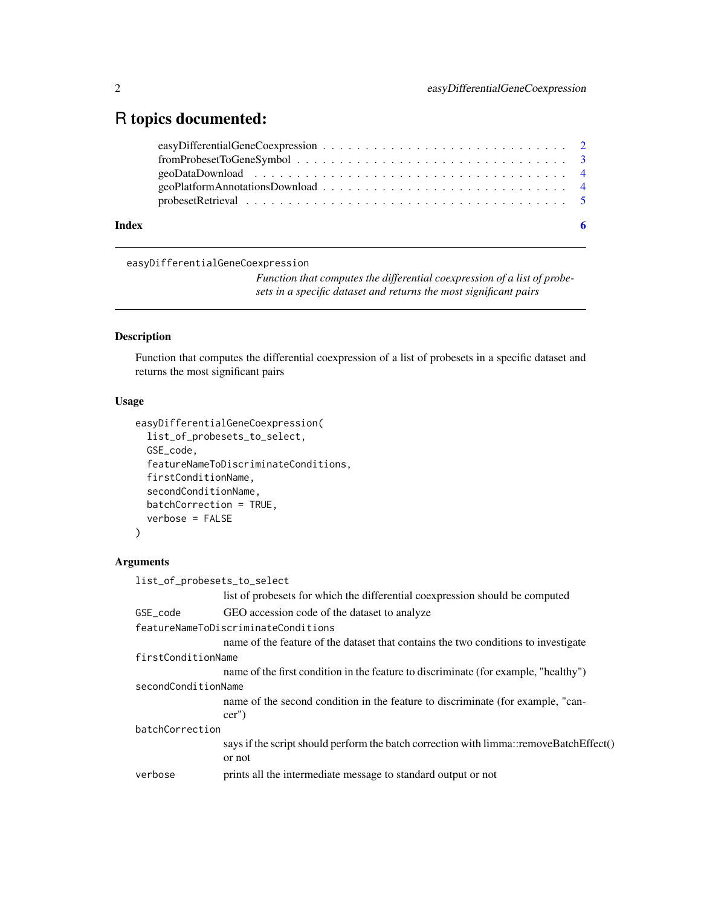### <span id="page-1-0"></span>R topics documented:

| Index |  |
|-------|--|

easyDifferentialGeneCoexpression

*Function that computes the differential coexpression of a list of probesets in a specific dataset and returns the most significant pairs*

#### Description

Function that computes the differential coexpression of a list of probesets in a specific dataset and returns the most significant pairs

#### Usage

```
easyDifferentialGeneCoexpression(
  list_of_probesets_to_select,
  GSE_code,
  featureNameToDiscriminateConditions,
  firstConditionName,
  secondConditionName,
 batchCorrection = TRUE,
  verbose = FALSE
)
```
#### Arguments

| list_of_probesets_to_select         |                                                                                        |  |  |
|-------------------------------------|----------------------------------------------------------------------------------------|--|--|
|                                     | list of probesets for which the differential coexpression should be computed           |  |  |
| GSE code                            | GEO accession code of the dataset to analyze                                           |  |  |
| featureNameToDiscriminateConditions |                                                                                        |  |  |
|                                     | name of the feature of the dataset that contains the two conditions to investigate     |  |  |
| firstConditionName                  |                                                                                        |  |  |
|                                     | name of the first condition in the feature to discriminate (for example, "healthy")    |  |  |
| secondConditionName                 |                                                                                        |  |  |
|                                     | name of the second condition in the feature to discriminate (for example, "can-        |  |  |
|                                     | $cer'$ )                                                                               |  |  |
| batchCorrection                     |                                                                                        |  |  |
|                                     | says if the script should perform the batch correction with limma::removeBatchEffect() |  |  |
|                                     | or not                                                                                 |  |  |
| verbose                             | prints all the intermediate message to standard output or not                          |  |  |
|                                     |                                                                                        |  |  |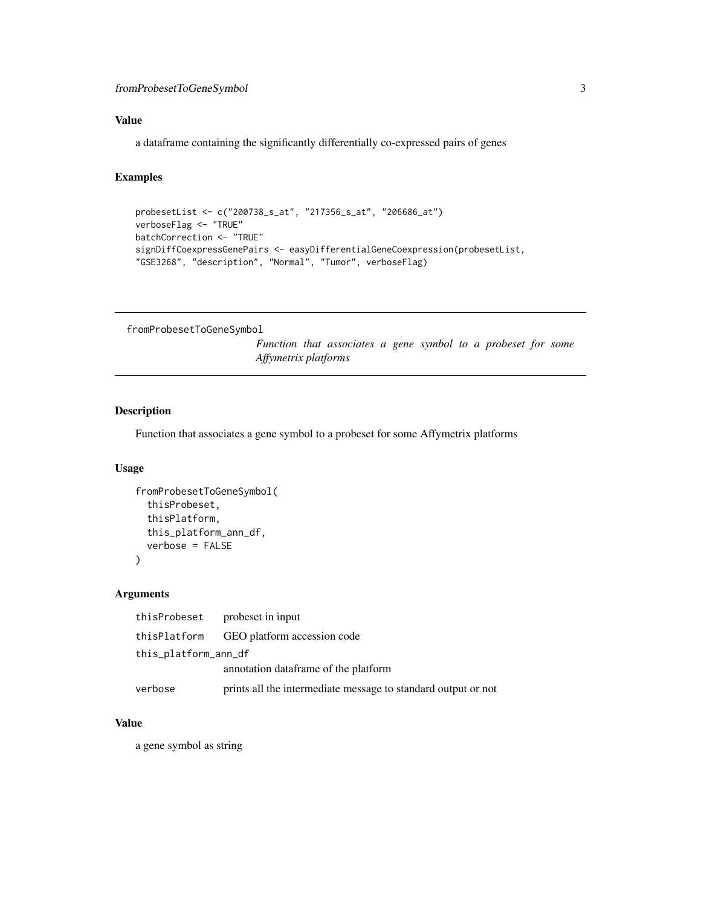#### <span id="page-2-0"></span>Value

a dataframe containing the significantly differentially co-expressed pairs of genes

#### Examples

```
probesetList <- c("200738_s_at", "217356_s_at", "206686_at")
verboseFlag <- "TRUE"
batchCorrection <- "TRUE"
signDiffCoexpressGenePairs <- easyDifferentialGeneCoexpression(probesetList,
"GSE3268", "description", "Normal", "Tumor", verboseFlag)
```
fromProbesetToGeneSymbol

*Function that associates a gene symbol to a probeset for some Affymetrix platforms*

#### Description

Function that associates a gene symbol to a probeset for some Affymetrix platforms

#### Usage

```
fromProbesetToGeneSymbol(
  thisProbeset,
  thisPlatform,
  this_platform_ann_df,
  verbose = FALSE
\mathcal{L}
```
#### Arguments

|                      | this Probeset probeset in input                               |
|----------------------|---------------------------------------------------------------|
|                      | thisPlatform GEO platform accession code                      |
| this_platform_ann_df |                                                               |
|                      | annotation dataframe of the platform                          |
| verbose              | prints all the intermediate message to standard output or not |

#### Value

a gene symbol as string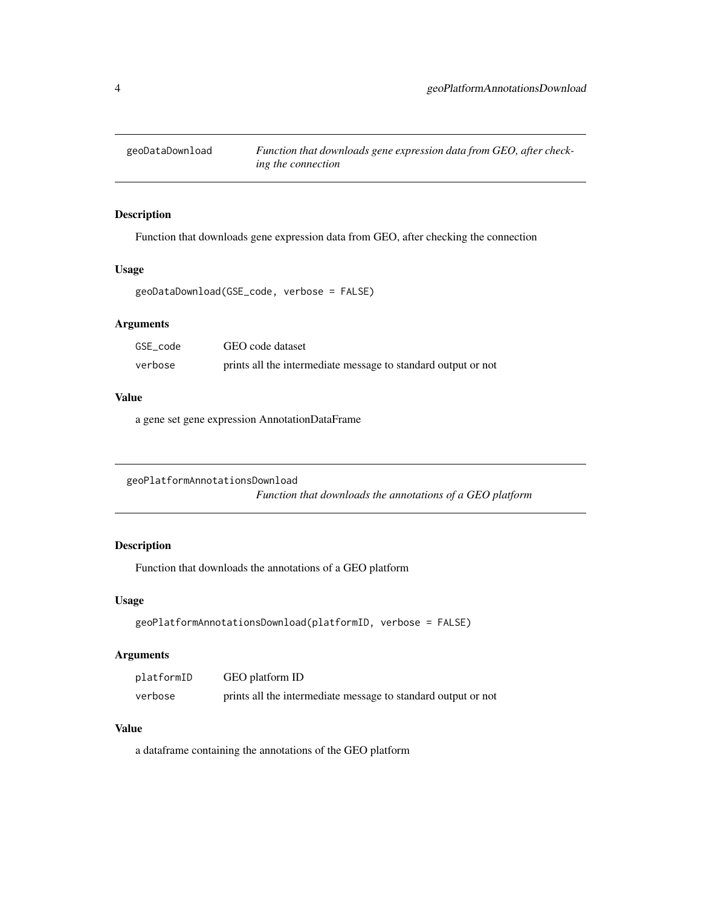<span id="page-3-0"></span>

#### Description

Function that downloads gene expression data from GEO, after checking the connection

#### Usage

```
geoDataDownload(GSE_code, verbose = FALSE)
```
#### Arguments

| GSE code | GEO code dataset                                              |
|----------|---------------------------------------------------------------|
| verbose  | prints all the intermediate message to standard output or not |

#### Value

a gene set gene expression AnnotationDataFrame

geoPlatformAnnotationsDownload

*Function that downloads the annotations of a GEO platform*

#### Description

Function that downloads the annotations of a GEO platform

#### Usage

```
geoPlatformAnnotationsDownload(platformID, verbose = FALSE)
```
#### Arguments

| platformID | GEO platform ID                                               |
|------------|---------------------------------------------------------------|
| verbose    | prints all the intermediate message to standard output or not |

#### Value

a dataframe containing the annotations of the GEO platform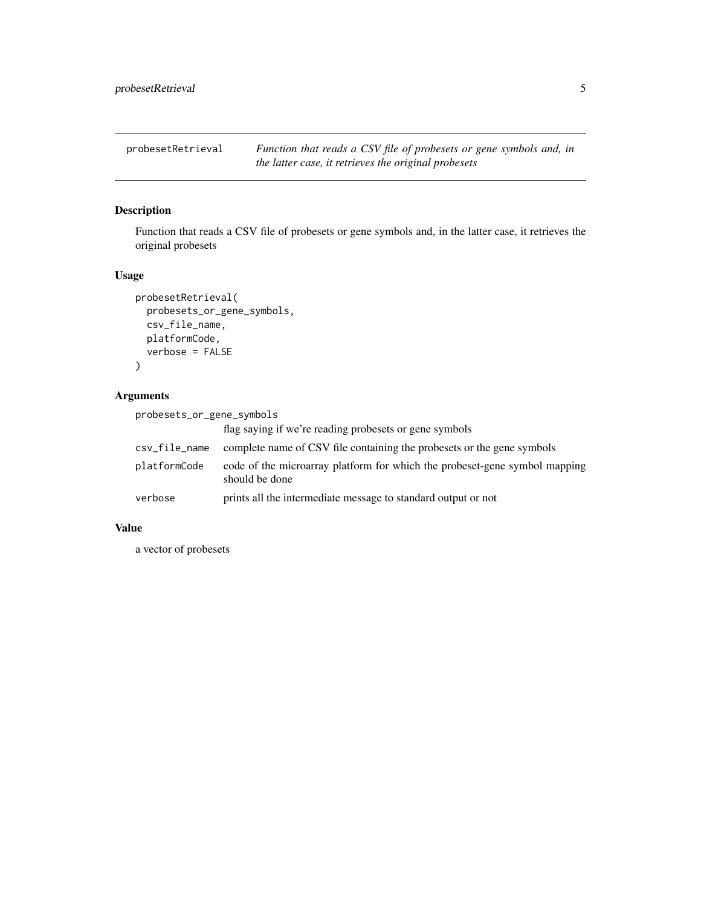<span id="page-4-0"></span>probesetRetrieval *Function that reads a CSV file of probesets or gene symbols and, in the latter case, it retrieves the original probesets*

#### Description

Function that reads a CSV file of probesets or gene symbols and, in the latter case, it retrieves the original probesets

#### Usage

```
probesetRetrieval(
  probesets_or_gene_symbols,
  csv_file_name,
  platformCode,
  verbose = FALSE
\mathcal{L}
```
#### Arguments

| probesets_or_gene_symbols |                                                                                              |  |  |  |
|---------------------------|----------------------------------------------------------------------------------------------|--|--|--|
|                           | flag saying if we're reading probesets or gene symbols                                       |  |  |  |
| csv_file_name             | complete name of CSV file containing the probesets or the gene symbols                       |  |  |  |
| platformCode              | code of the microarray platform for which the probeset-gene symbol mapping<br>should be done |  |  |  |
| verbose                   | prints all the intermediate message to standard output or not                                |  |  |  |

#### Value

a vector of probesets